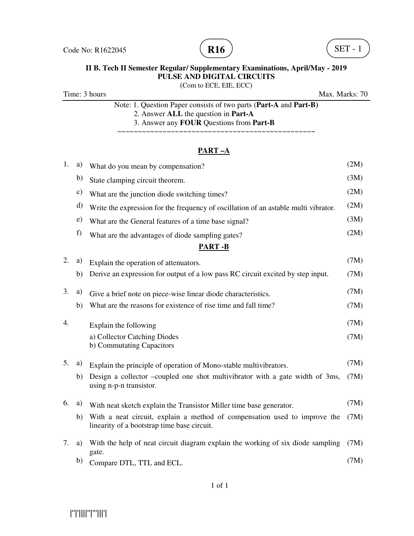



(Com to ECE, EIE, ECC)

Time: 3 hours Max. Marks: 70

Note: 1. Question Paper consists of two parts (**Part-A** and **Part-B)** 2. Answer **ALL** the question in **Part-A** 3. Answer any **FOUR** Questions from **Part-B**

~~~~~~~~~~~~~~~~~~~~~~~~~~~~~~~~~~~~~~~~~~~~~~~~

### **PART –A**

| 1.            | a)           | What do you mean by compensation?                                                                                        | (2M) |  |  |  |
|---------------|--------------|--------------------------------------------------------------------------------------------------------------------------|------|--|--|--|
|               | b)           | State clamping circuit theorem.                                                                                          | (3M) |  |  |  |
|               | c)           | What are the junction diode switching times?                                                                             | (2M) |  |  |  |
|               | d)           | Write the expression for the frequency of oscillation of an astable multi vibrator.                                      | (2M) |  |  |  |
|               | $\epsilon$ ) | What are the General features of a time base signal?                                                                     | (3M) |  |  |  |
|               | f)           | What are the advantages of diode sampling gates?                                                                         | (2M) |  |  |  |
| <b>PART-B</b> |              |                                                                                                                          |      |  |  |  |
| 2.            | a)           | Explain the operation of attenuators.                                                                                    | (7M) |  |  |  |
|               | b)           | Derive an expression for output of a low pass RC circuit excited by step input.                                          | (7M) |  |  |  |
| 3.            | a)           | Give a brief note on piece-wise linear diode characteristics.                                                            | (7M) |  |  |  |
|               | b)           | What are the reasons for existence of rise time and fall time?                                                           | (7M) |  |  |  |
| 4.            |              | Explain the following                                                                                                    | (7M) |  |  |  |
|               |              | a) Collector Catching Diodes<br>b) Commutating Capacitors                                                                | (7M) |  |  |  |
| 5.            | a)           | Explain the principle of operation of Mono-stable multivibrators.                                                        | (7M) |  |  |  |
|               | b)           | Design a collector –coupled one shot multivibrator with a gate width of 3ms,<br>using n-p-n transistor.                  | (7M) |  |  |  |
| 6.            | a)           | With neat sketch explain the Transistor Miller time base generator.                                                      | (7M) |  |  |  |
|               | b)           | With a neat circuit, explain a method of compensation used to improve the<br>linearity of a bootstrap time base circuit. | (7M) |  |  |  |
| 7.            | a)           | With the help of neat circuit diagram explain the working of six diode sampling<br>gate.                                 | (7M) |  |  |  |
|               | b)           | Compare DTL, TTL and ECL.                                                                                                | (7M) |  |  |  |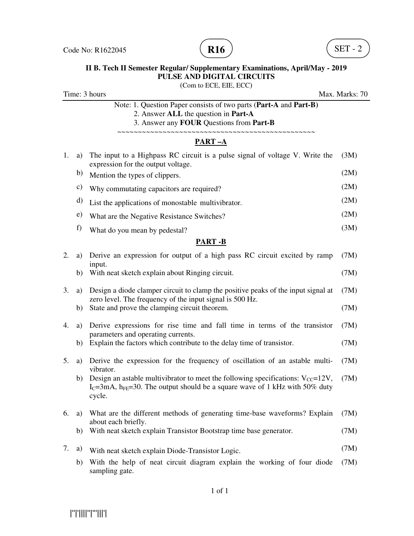



(Com to ECE, EIE, ECC)

| Time: 3 hours<br>Max. Marks: 70 |               |                                                                                                                                                                                                         |      |
|---------------------------------|---------------|---------------------------------------------------------------------------------------------------------------------------------------------------------------------------------------------------------|------|
|                                 |               | Note: 1. Question Paper consists of two parts (Part-A and Part-B)<br>2. Answer ALL the question in Part-A<br>3. Answer any FOUR Questions from Part-B<br>~~~~~~~~~~~~~~~~~~~~~~~~~~~~~                  |      |
|                                 |               | PART-A                                                                                                                                                                                                  |      |
| 1.                              | a)            | The input to a Highpass RC circuit is a pulse signal of voltage V. Write the<br>expression for the output voltage.                                                                                      | (3M) |
|                                 | b)            | Mention the types of clippers.                                                                                                                                                                          | (2M) |
|                                 | $\mathbf{c})$ | Why commutating capacitors are required?                                                                                                                                                                | (2M) |
|                                 | d)            | List the applications of monostable multivibrator.                                                                                                                                                      | (2M) |
|                                 | e)            | What are the Negative Resistance Switches?                                                                                                                                                              | (2M) |
|                                 | f)            | What do you mean by pedestal?                                                                                                                                                                           | (3M) |
|                                 |               | <b>PART-B</b>                                                                                                                                                                                           |      |
| 2.                              | a)            | Derive an expression for output of a high pass RC circuit excited by ramp<br>input.                                                                                                                     | (7M) |
|                                 | b)            | With neat sketch explain about Ringing circuit.                                                                                                                                                         | (7M) |
| 3.                              | a)            | Design a diode clamper circuit to clamp the positive peaks of the input signal at<br>zero level. The frequency of the input signal is 500 Hz.                                                           | (7M) |
|                                 | b)            | State and prove the clamping circuit theorem.                                                                                                                                                           | (7M) |
| 4.                              | a)            | Derive expressions for rise time and fall time in terms of the transistor<br>parameters and operating currents.                                                                                         | (7M) |
|                                 | b)            | Explain the factors which contribute to the delay time of transistor.                                                                                                                                   | (7M) |
| 5.                              | a)            | Derive the expression for the frequency of oscillation of an astable multi-<br>vibrator.                                                                                                                | (7M) |
|                                 | b)            | Design an astable multivibrator to meet the following specifications: $V_{CC} = 12V$ ,<br>I <sub>C</sub> =3mA, h <sub>FE</sub> =30. The output should be a square wave of 1 kHz with 50% duty<br>cycle. | (7M) |
| 6.                              | a)            | What are the different methods of generating time-base waveforms? Explain<br>about each briefly.                                                                                                        | (7M) |
|                                 | b)            | With neat sketch explain Transistor Bootstrap time base generator.                                                                                                                                      | (7M) |
| 7.                              | a)            | With neat sketch explain Diode-Transistor Logic.                                                                                                                                                        | (7M) |
|                                 | b)            | With the help of neat circuit diagram explain the working of four diode<br>sampling gate.                                                                                                               | (7M) |

|''|'||||''|'''|||'|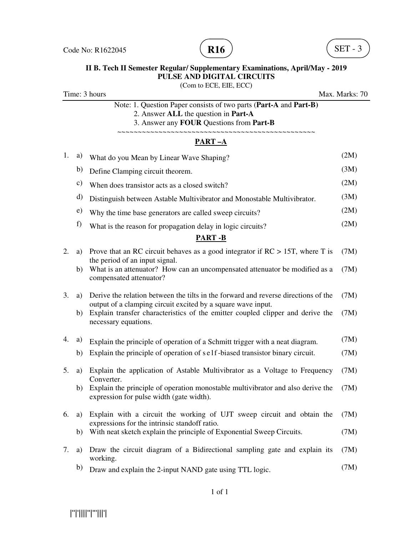



(Com to ECE, EIE, ECC)

Time: 3 hours Max. Marks: 70

Note: 1. Question Paper consists of two parts (**Part-A** and **Part-B)** 2. Answer **ALL** the question in **Part-A**

 3. Answer any **FOUR** Questions from **Part-B** ~~~~~~~~~~~~~~~~~~~~~~~~~~~~~~~~~~~~~~~~~~~~~~~~

### **PART –A**

| 1. | a)            | What do you Mean by Linear Wave Shaping?                                                                                                           | (2M) |
|----|---------------|----------------------------------------------------------------------------------------------------------------------------------------------------|------|
|    | b)            | Define Clamping circuit theorem.                                                                                                                   | (3M) |
|    | $\mathbf{c})$ | When does transistor acts as a closed switch?                                                                                                      | (2M) |
|    | $\mathbf{d}$  | Distinguish between Astable Multivibrator and Monostable Multivibrator.                                                                            | (3M) |
|    | $\epsilon$ )  | Why the time base generators are called sweep circuits?                                                                                            | (2M) |
|    | f)            | What is the reason for propagation delay in logic circuits?                                                                                        | (2M) |
|    |               | <b>PART-B</b>                                                                                                                                      |      |
| 2. | a)            | Prove that an RC circuit behaves as a good integrator if $RC > 15T$ , where T is<br>the period of an input signal.                                 | (7M) |
|    | b)            | What is an attenuator? How can an uncompensated attenuator be modified as a<br>compensated attenuator?                                             | (7M) |
| 3. | a)            | Derive the relation between the tilts in the forward and reverse directions of the<br>output of a clamping circuit excited by a square wave input. | (7M) |
|    | b)            | Explain transfer characteristics of the emitter coupled clipper and derive the<br>necessary equations.                                             | (7M) |
| 4. | a)            | Explain the principle of operation of a Schmitt trigger with a neat diagram.                                                                       | (7M) |
|    | b)            | Explain the principle of operation of self-biased transistor binary circuit.                                                                       | (7M) |
| 5. | a)            | Explain the application of Astable Multivibrator as a Voltage to Frequency<br>Converter.                                                           | (7M) |
|    | b)            | Explain the principle of operation monostable multivibrator and also derive the<br>expression for pulse width (gate width).                        | (7M) |
| 6. | a)            | Explain with a circuit the working of UJT sweep circuit and obtain the<br>expressions for the intrinsic standoff ratio.                            | (7M) |
|    | b)            | With neat sketch explain the principle of Exponential Sweep Circuits.                                                                              | (7M) |
| 7. | a)            | Draw the circuit diagram of a Bidirectional sampling gate and explain its<br>working.                                                              | (7M) |
|    | b)            | Draw and explain the 2-input NAND gate using TTL logic.                                                                                            | (7M) |

|''|'||||''|'''|||'|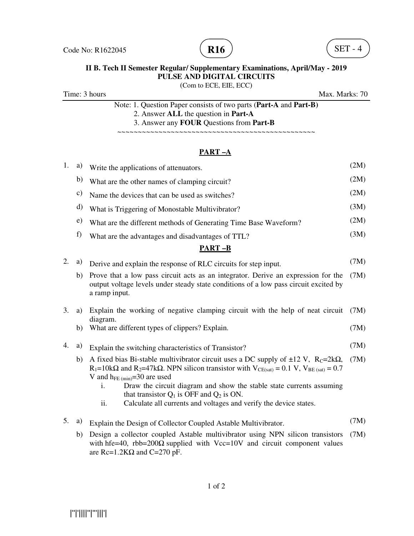



(Com to ECE, EIE, ECC)

Time: 3 hours Max. Marks: 70

Note: 1. Question Paper consists of two parts (**Part-A** and **Part-B)** 2. Answer **ALL** the question in **Part-A** 3. Answer any **FOUR** Questions from **Part-B**

~~~~~~~~~~~~~~~~~~~~~~~~~~~~~~~~~~~~~~~~~~~~~~~~

### **PART –A**

| 1. | a) | Write the applications of attenuators.                                                                                                                                                                                                                                                                                                                                                                                                                          | (2M) |
|----|----|-----------------------------------------------------------------------------------------------------------------------------------------------------------------------------------------------------------------------------------------------------------------------------------------------------------------------------------------------------------------------------------------------------------------------------------------------------------------|------|
|    | b) | What are the other names of clamping circuit?                                                                                                                                                                                                                                                                                                                                                                                                                   | (2M) |
|    | c) | Name the devices that can be used as switches?                                                                                                                                                                                                                                                                                                                                                                                                                  | (2M) |
|    | d) | What is Triggering of Monostable Multivibrator?                                                                                                                                                                                                                                                                                                                                                                                                                 | (3M) |
|    | e) | What are the different methods of Generating Time Base Waveform?                                                                                                                                                                                                                                                                                                                                                                                                | (2M) |
|    | f) | What are the advantages and disadvantages of TTL?                                                                                                                                                                                                                                                                                                                                                                                                               | (3M) |
|    |    | <b>PART-B</b>                                                                                                                                                                                                                                                                                                                                                                                                                                                   |      |
| 2. | a) | Derive and explain the response of RLC circuits for step input.                                                                                                                                                                                                                                                                                                                                                                                                 | (7M) |
|    | b) | Prove that a low pass circuit acts as an integrator. Derive an expression for the<br>output voltage levels under steady state conditions of a low pass circuit excited by<br>a ramp input.                                                                                                                                                                                                                                                                      | (7M) |
| 3. | a) | Explain the working of negative clamping circuit with the help of neat circuit<br>diagram.                                                                                                                                                                                                                                                                                                                                                                      | (7M) |
|    | b) | What are different types of clippers? Explain.                                                                                                                                                                                                                                                                                                                                                                                                                  | (7M) |
| 4. | a) | Explain the switching characteristics of Transistor?                                                                                                                                                                                                                                                                                                                                                                                                            | (7M) |
|    | b) | A fixed bias Bi-stable multivibrator circuit uses a DC supply of $\pm 12$ V, Rc=2k $\Omega$ ,<br>$R_1=10k\Omega$ and $R_2=47k\Omega$ . NPN silicon transistor with $V_{CE(sat)} = 0.1 V$ , $V_{BE(sat)} = 0.7$<br>V and $h_{FE (min)} = 30$ are used<br>Draw the circuit diagram and show the stable state currents assuming<br>i.<br>that transistor $Q_1$ is OFF and $Q_2$ is ON.<br>Calculate all currents and voltages and verify the device states.<br>ii. | (7M) |
| 5. | a) | Explain the Design of Collector Coupled Astable Multivibrator.                                                                                                                                                                                                                                                                                                                                                                                                  | (7M) |
|    | b) | Design a collector coupled Astable multivibrator using NPN silicon transistors<br>with hfe=40, rbb=200 $\Omega$ supplied with Vcc=10V and circuit component values                                                                                                                                                                                                                                                                                              | (7M) |

1 of 2

are  $Rc=1.2K\Omega$  and  $C=270$  pF.